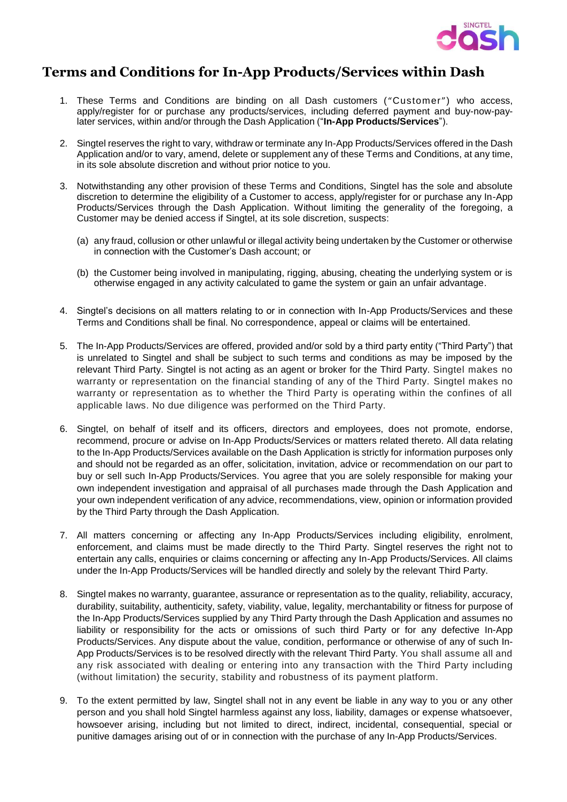

## **Terms and Conditions for In-App Products/Services within Dash**

- 1. These Terms and Conditions are binding on all Dash customers ("Customer") who access, apply/register for or purchase any products/services, including deferred payment and buy-now-paylater services, within and/or through the Dash Application ("**In-App Products/Services**").
- 2. Singtel reserves the right to vary, withdraw or terminate any In-App Products/Services offered in the Dash Application and/or to vary, amend, delete or supplement any of these Terms and Conditions, at any time, in its sole absolute discretion and without prior notice to you.
- 3. Notwithstanding any other provision of these Terms and Conditions, Singtel has the sole and absolute discretion to determine the eligibility of a Customer to access, apply/register for or purchase any In-App Products/Services through the Dash Application. Without limiting the generality of the foregoing, a Customer may be denied access if Singtel, at its sole discretion, suspects:
	- (a) any fraud, collusion or other unlawful or illegal activity being undertaken by the Customer or otherwise in connection with the Customer's Dash account; or
	- (b) the Customer being involved in manipulating, rigging, abusing, cheating the underlying system or is otherwise engaged in any activity calculated to game the system or gain an unfair advantage.
- 4. Singtel's decisions on all matters relating to or in connection with In-App Products/Services and these Terms and Conditions shall be final. No correspondence, appeal or claims will be entertained.
- 5. The In-App Products/Services are offered, provided and/or sold by a third party entity ("Third Party") that is unrelated to Singtel and shall be subject to such terms and conditions as may be imposed by the relevant Third Party. Singtel is not acting as an agent or broker for the Third Party. Singtel makes no warranty or representation on the financial standing of any of the Third Party. Singtel makes no warranty or representation as to whether the Third Party is operating within the confines of all applicable laws. No due diligence was performed on the Third Party.
- 6. Singtel, on behalf of itself and its officers, directors and employees, does not promote, endorse, recommend, procure or advise on In-App Products/Services or matters related thereto. All data relating to the In-App Products/Services available on the Dash Application is strictly for information purposes only and should not be regarded as an offer, solicitation, invitation, advice or recommendation on our part to buy or sell such In-App Products/Services. You agree that you are solely responsible for making your own independent investigation and appraisal of all purchases made through the Dash Application and your own independent verification of any advice, recommendations, view, opinion or information provided by the Third Party through the Dash Application.
- 7. All matters concerning or affecting any In-App Products/Services including eligibility, enrolment, enforcement, and claims must be made directly to the Third Party. Singtel reserves the right not to entertain any calls, enquiries or claims concerning or affecting any In-App Products/Services. All claims under the In-App Products/Services will be handled directly and solely by the relevant Third Party.
- 8. Singtel makes no warranty, guarantee, assurance or representation as to the quality, reliability, accuracy, durability, suitability, authenticity, safety, viability, value, legality, merchantability or fitness for purpose of the In-App Products/Services supplied by any Third Party through the Dash Application and assumes no liability or responsibility for the acts or omissions of such third Party or for any defective In-App Products/Services. Any dispute about the value, condition, performance or otherwise of any of such In-App Products/Services is to be resolved directly with the relevant Third Party. You shall assume all and any risk associated with dealing or entering into any transaction with the Third Party including (without limitation) the security, stability and robustness of its payment platform.
- 9. To the extent permitted by law, Singtel shall not in any event be liable in any way to you or any other person and you shall hold Singtel harmless against any loss, liability, damages or expense whatsoever, howsoever arising, including but not limited to direct, indirect, incidental, consequential, special or punitive damages arising out of or in connection with the purchase of any In-App Products/Services.